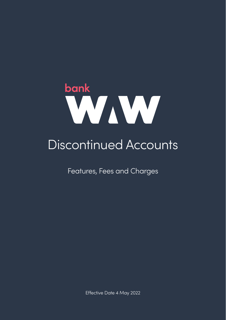

# Discontinued Accounts

Features, Fees and Charges

Effective Date 4 May 2022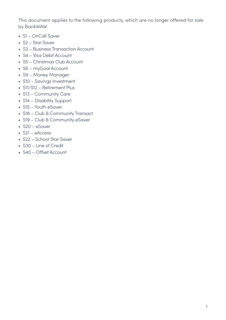This document applies to the following products, which are no longer offered for sale by BankWAW.

- S1 OnCall Saver
- S2 Star Saver
- S3 Business Transaction Account
- S4 Visa Debit Account
- S5 Christmas Club Account
- S6 myGoal Account
- S9 Money Manager
- S10 Savings Investment
- S11/S12 Retirement Plus
- S13 Community Care
- S14 Disability Support
- S15 Youth eSaver
- S18 Club & Community Transact
- S19 Club & Community eSaver
- S20 eSaver
- S21 eAccess
- S22 School Star Saver
- S30 Line of Credit
- S40 Offset Account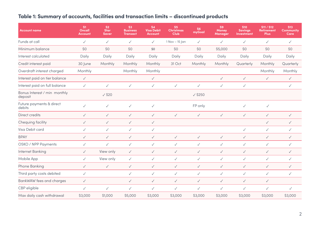#### **Table 1: Summary of accounts, facilities and transaction limits – discontinued products**

| <b>Account name</b>                     | <b>S1</b><br>Oncall<br>Account | S <sub>2</sub><br><b>Star</b><br><b>Saver</b> | S <sub>3</sub><br><b>Business</b><br><b>Transact</b> | <b>S4</b><br><b>Visa Debit</b><br>Account | <b>S5</b><br>Christmas<br>Club | <b>S6</b><br>myGoal  | S9<br><b>Money</b><br><b>Manager</b> | <b>S10</b><br><b>Savinas</b><br><b>Investment</b> | S11 / S12<br>Retirement<br><b>Plus</b> | <b>S13</b><br>Community<br>Care |
|-----------------------------------------|--------------------------------|-----------------------------------------------|------------------------------------------------------|-------------------------------------------|--------------------------------|----------------------|--------------------------------------|---------------------------------------------------|----------------------------------------|---------------------------------|
| Funds at call                           | ✓                              | ✓                                             | ✓                                                    | ✓                                         | $1$ Nov $-$ 15 Jan             | ✓                    | ✓                                    | $\checkmark$                                      | ✓                                      | ✓                               |
| Minimum balance                         | SO                             | SO                                            | \$0                                                  | \$0                                       | SO                             | SO                   | \$5,000                              | SO                                                | SO                                     | \$0                             |
| Interest calculated                     | Daily                          | Daily                                         | Daily                                                | Daily                                     | Daily                          | Daily                | Daily                                | Daily                                             | Daily                                  | Daily                           |
| Credit interest paid                    | 30 June                        | Monthly                                       | Monthly                                              | Monthly                                   | 31 Oct                         | Monthly              | Monthly                              | Quarterly                                         | Monthly                                | Quarterly                       |
| Overdraft interest charged              | Monthly                        |                                               | Monthly                                              | Monthly                                   |                                |                      |                                      |                                                   | Monthly                                | Monthly                         |
| Interest paid on tier balance           | $\checkmark$                   |                                               |                                                      | $\checkmark$                              |                                |                      | ✓                                    | $\checkmark$                                      | ✓                                      | $\checkmark$                    |
| Interest paid on full balance           | $\checkmark$                   | $\checkmark$                                  | $\checkmark$                                         | $\checkmark$                              | $\checkmark$                   | ✓                    | $\checkmark$                         | $\checkmark$                                      |                                        | $\checkmark$                    |
| Bonus Interest / min monthly<br>deposit |                                | $\sqrt{$20}$                                  |                                                      |                                           |                                | $\sqrt{\text{S}}250$ |                                      |                                                   |                                        |                                 |
| Future payments & direct<br>debits      | ✓                              | $\checkmark$                                  | $\checkmark$                                         | ✓                                         |                                | FP only              |                                      | ✓                                                 | $\checkmark$                           |                                 |
| Direct credits                          | ✓                              | $\checkmark$                                  | $\checkmark$                                         | $\checkmark$                              | $\checkmark$                   | $\checkmark$         | $\checkmark$                         | $\checkmark$                                      | ✓                                      | $\checkmark$                    |
| Chequing facility                       | $\checkmark$                   | $\checkmark$                                  | $\checkmark$                                         | $\checkmark$                              |                                |                      |                                      |                                                   | ✓                                      | $\checkmark$                    |
| Visa Debit card                         | ✓                              | $\checkmark$                                  | $\checkmark$                                         | ✓                                         |                                |                      |                                      | ✓                                                 | ✓                                      | ✓                               |
| <b>BPAY</b>                             | $\checkmark$                   | $\checkmark$                                  | $\checkmark$                                         | $\checkmark$                              | $\checkmark$                   | $\checkmark$         | $\checkmark$                         | $\checkmark$                                      | ✓                                      | $\checkmark$                    |
| OSKO / NPP Payments                     | ✓                              | $\checkmark$                                  | $\checkmark$                                         | $\checkmark$                              | $\checkmark$                   | ✓                    | $\checkmark$                         | ✓                                                 | ✓                                      | ✓                               |
| Internet Banking                        | ✓                              | View only                                     | $\checkmark$                                         | ✓                                         | $\checkmark$                   | ✓                    | ✓                                    | $\checkmark$                                      | ✓                                      | $\checkmark$                    |
| Mobile App                              | $\checkmark$                   | View only                                     | $\checkmark$                                         | ✓                                         | $\checkmark$                   | ✓                    | $\checkmark$                         | ✓                                                 | ✓                                      | ✓                               |
| Phone Banking                           | ✓                              | $\checkmark$                                  | $\checkmark$                                         | $\checkmark$                              | $\checkmark$                   | ✓                    | ✓                                    | $\checkmark$                                      | ✓                                      | $\checkmark$                    |
| Third party costs debited               | $\checkmark$                   |                                               | ✓                                                    | ✓                                         | $\checkmark$                   | ✓                    | ✓                                    | ✓                                                 | ✓                                      | ✓                               |
| BankWAW fees and charges                | ✓                              |                                               | ✓                                                    | ✓                                         | $\checkmark$                   | ✓                    | ✓                                    | $\checkmark$                                      | ✓                                      |                                 |
| CBP eligible                            | ✓                              | $\checkmark$                                  | $\checkmark$                                         | ✓                                         | $\checkmark$                   | ✓                    | $\checkmark$                         | $\checkmark$                                      | ✓                                      | $\checkmark$                    |
| Max daily cash withdrawal               | \$3,000                        | \$1,000                                       | \$5,000                                              | \$3,000                                   | \$3,000                        | \$3,000              | \$3,000                              | \$3,000                                           | \$3,000                                | \$3,000                         |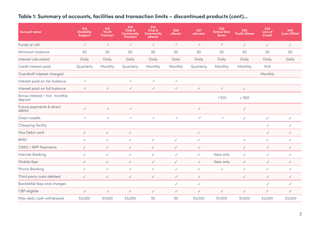#### **Table 1: Summary of accounts, facilities and transaction limits – discontinued products (cont)...**

| <b>Account name</b>                     | <b>S14</b><br><b>Disability</b><br>Support | <b>S15</b><br>Youth<br><b>Transact</b> | <b>S18</b><br>Club &<br>Community<br><b>Transact</b> | <b>S19</b><br>Club &<br><b>Community</b><br>eSaver | <b>S20</b><br>eSaver | <b>S21</b><br>eAccess | <b>S22</b><br><b>School Star</b><br><b>Saver</b> | <b>S25</b><br>Youth eSaver | <b>S30</b><br>Line of<br>Credit | <b>S40</b><br><b>Loan Offset</b> |
|-----------------------------------------|--------------------------------------------|----------------------------------------|------------------------------------------------------|----------------------------------------------------|----------------------|-----------------------|--------------------------------------------------|----------------------------|---------------------------------|----------------------------------|
| Funds at call                           | $\checkmark$                               | $\checkmark$                           | $\checkmark$                                         | $\checkmark$                                       | $\checkmark$         | $\checkmark$          | $\checkmark$                                     | $\checkmark$               | $\checkmark$                    | $\checkmark$                     |
| Minimum balance                         | \$0                                        | \$0                                    | \$0                                                  | \$0                                                | \$0                  | \$0                   | \$0                                              | \$0                        | \$0                             | \$0                              |
| Interest calculated                     | Daily                                      | Daily                                  | Daily                                                | Daily                                              | Daily                | Daily                 | Daily                                            | Daily                      | Daily                           | Daily                            |
| Credit interest paid                    | Quarterly                                  | Monthly                                | Quarterly                                            | Monthly                                            | Monthly              | Quarterly             | Monthly                                          | Monthly                    | N/A                             |                                  |
| Overdraft interest charged              |                                            |                                        |                                                      |                                                    |                      |                       |                                                  |                            | Monthly                         |                                  |
| Interest paid on tier balance           | $\checkmark$                               |                                        | $\checkmark$                                         | $\checkmark$                                       | $\checkmark$         |                       |                                                  |                            |                                 |                                  |
| Interest paid on full balance           | $\checkmark$                               | $\checkmark$                           | $\checkmark$                                         | $\checkmark$                                       | $\checkmark$         | $\checkmark$          | $\checkmark$                                     | $\checkmark$               |                                 |                                  |
| Bonus Interest / min monthly<br>deposit |                                            |                                        |                                                      |                                                    |                      |                       | $\sqrt{$20}$                                     | $\sqrt{\text{S}}50$        |                                 |                                  |
| Future payments & direct<br>debits      | $\checkmark$                               | $\checkmark$                           | $\checkmark$                                         |                                                    |                      | $\checkmark$          |                                                  | $\checkmark$               |                                 |                                  |
| Direct credits                          | $\checkmark$                               | $\checkmark$                           | $\checkmark$                                         | $\checkmark$                                       | $\checkmark$         | $\checkmark$          | $\checkmark$                                     | $\checkmark$               | $\checkmark$                    | $\checkmark$                     |
| Chequing facility                       |                                            |                                        |                                                      |                                                    |                      |                       |                                                  |                            | ✓                               | $\checkmark$                     |
| Visa Debit card                         | ✓                                          | $\checkmark$                           | $\checkmark$                                         |                                                    |                      | $\checkmark$          |                                                  |                            | ✓                               | $\checkmark$                     |
| <b>BPAY</b>                             | ✓                                          | $\checkmark$                           | $\checkmark$                                         | ✓                                                  | $\checkmark$         | $\checkmark$          |                                                  | $\checkmark$               | $\checkmark$                    | $\checkmark$                     |
| OSKO / NPP Payments                     | ✓                                          | $\checkmark$                           | $\checkmark$                                         | $\checkmark$                                       | $\checkmark$         | $\checkmark$          |                                                  | $\checkmark$               | ✓                               | $\checkmark$                     |
| Internet Banking                        | ✓                                          | $\checkmark$                           | $\checkmark$                                         | $\checkmark$                                       | $\checkmark$         | $\checkmark$          | View only                                        | $\checkmark$               | ✓                               | $\checkmark$                     |
| Mobile App                              | ✓                                          | $\checkmark$                           | $\checkmark$                                         | $\checkmark$                                       | $\checkmark$         | $\checkmark$          | View only                                        | $\checkmark$               | ✓                               | $\checkmark$                     |
| Phone Banking                           | ✓                                          | $\checkmark$                           | $\checkmark$                                         | $\checkmark$                                       | $\checkmark$         | $\checkmark$          | $\checkmark$                                     | $\checkmark$               | $\checkmark$                    | $\checkmark$                     |
| Third party costs debited               | $\checkmark$                               | $\checkmark$                           | $\checkmark$                                         | $\checkmark$                                       | $\checkmark$         | $\checkmark$          |                                                  | $\checkmark$               | ✓                               | $\checkmark$                     |
| BankWAW fees and charges                |                                            |                                        |                                                      |                                                    | $\checkmark$         | $\checkmark$          |                                                  |                            | ✓                               | $\checkmark$                     |
| CBP eligible                            | $\checkmark$                               | $\checkmark$                           | $\checkmark$                                         | $\checkmark$                                       | $\checkmark$         | $\checkmark$          | ✓                                                | $\checkmark$               | $\checkmark$                    | $\checkmark$                     |
| Max daily cash withdrawal               | \$3,000                                    | \$1,000                                | \$3,000                                              | SO                                                 | \$0                  | \$3,000               | \$1,000                                          | \$1,000                    | \$3,000                         | \$3,000                          |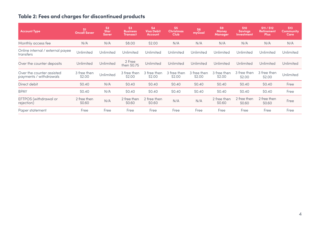## **Table 2: Fees and charges for discontinued products**

| <b>Account Type</b>                                 | S <sub>1</sub><br><b>Oncall Saver</b> | S <sub>2</sub><br><b>Star</b><br><b>Saver</b> | S <sub>3</sub><br><b>Business</b><br><b>Transact</b> | <b>S4</b><br><b>Visa Debit</b><br>Account | S <sub>5</sub><br><b>Christmas</b><br><b>Club</b> | S <sub>6</sub><br>myGoal | S <sub>9</sub><br>Money<br><b>Manager</b> | <b>S10</b><br><b>Savings</b><br>Investment | S11 / S12<br><b>Retirement</b><br><b>Plus</b> | <b>S13</b><br><b>Community</b><br>Care |
|-----------------------------------------------------|---------------------------------------|-----------------------------------------------|------------------------------------------------------|-------------------------------------------|---------------------------------------------------|--------------------------|-------------------------------------------|--------------------------------------------|-----------------------------------------------|----------------------------------------|
| Monthly access fee                                  | N/A                                   | N/A                                           | \$8.00                                               | \$2.00                                    | N/A                                               | N/A                      | N/A                                       | N/A                                        | N/A                                           | N/A                                    |
| Online internal / external payee<br>transfers       | Unlimited                             | Unlimited                                     | Unlimited                                            | Unlimited                                 | Unlimited                                         | Unlimited                | Unlimited                                 | Unlimited                                  | Unlimited                                     | Unlimited                              |
| Over the counter deposits                           | Unlimited                             | Unlimited                                     | 2 Free<br>then \$0.75                                | Unlimited                                 | Unlimited                                         | Unlimited                | Unlimited                                 | Unlimited                                  | Unlimited                                     | Unlimited                              |
| Over the counter assisted<br>payments / withdrawals | 3 free then<br>\$2.00                 | Unlimited                                     | 3 free then<br>\$2.00                                | 3 free then<br>\$2.00                     | 3 free then<br>\$2.00                             | 3 free then<br>\$2.00    | 3 free then<br>\$2.00                     | 3 free then<br>\$2.00                      | 3 free then<br>\$2.00                         | Unlimited                              |
| Direct debit                                        | \$0.40                                | N/A                                           | \$0.40                                               | \$0.40                                    | \$0.40                                            | \$0.40                   | \$0.40                                    | \$0.40                                     | \$0.40                                        | Free                                   |
| <b>BPAY</b>                                         | \$0.40                                | N/A                                           | \$0.40                                               | \$0.40                                    | \$0.40                                            | \$0.40                   | \$0.40                                    | \$0.40                                     | \$0.40                                        | Free                                   |
| EFTPOS (withdrawal or<br>rejection)                 | 2 free then<br>\$0.60                 | N/A                                           | 2 free then<br>\$0.60                                | 2 free then<br>\$0.60                     | N/A                                               | N/A                      | 2 free then<br>\$0.60                     | 2 free then<br>\$0.60                      | 2 free then<br>\$0.60                         | Free                                   |
| Paper statement                                     | Free                                  | Free                                          | Free                                                 | Free                                      | Free                                              | Free                     | Free                                      | Free                                       | Free                                          | Free                                   |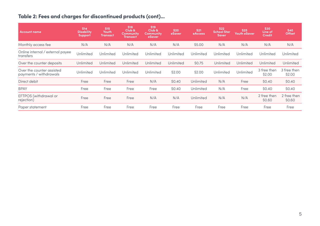## **Table 2: Fees and charges for discontinued products (cont)...**

| <b>Account name</b>                                 | <b>S14</b><br><b>Disability</b><br><b>Support</b> | <b>S15</b><br>Youth<br><b>Transact</b> | <b>S18</b><br>Club &<br>Community<br><b>Transact</b> | <b>S19</b><br>Club &<br><b>Community</b><br>eSaver | <b>S20</b><br>eSaver | <b>S21</b><br>eAccess | <b>S22</b><br><b>School Star</b><br><b>Saver</b> | <b>S25</b><br>Youth eSaver | <b>S30</b><br>Line of<br>Credit | <b>S40</b><br><b>Offset</b> |
|-----------------------------------------------------|---------------------------------------------------|----------------------------------------|------------------------------------------------------|----------------------------------------------------|----------------------|-----------------------|--------------------------------------------------|----------------------------|---------------------------------|-----------------------------|
| Monthly access fee                                  | N/A                                               | N/A                                    | N/A                                                  | N/A                                                | N/A                  | \$5.00                | N/A                                              | N/A                        | N/A                             | N/A                         |
| Online internal / external payee<br>transfers       | Unlimited                                         | Unlimited                              | Unlimited                                            | Unlimited                                          | Unlimited            | Unlimited             | Unlimited                                        | Unlimited                  | Unlimited                       | Unlimited                   |
| Over the counter deposits                           | Unlimited                                         | Unlimited                              | Unlimited                                            | Unlimited                                          | Unlimited            | \$0.75                | Unlimited                                        | Unlimited                  | Unlimited                       | <b>Unlimited</b>            |
| Over the counter assisted<br>payments / withdrawals | Unlimited                                         | Unlimited                              | Unlimited                                            | Unlimited                                          | \$2.00               | \$2.00                | Unlimited                                        | Unlimited                  | 3 free then<br>\$2.00           | 3 free then<br>\$2.00       |
| Direct debit                                        | Free                                              | Free                                   | Free                                                 | N/A                                                | \$0.40               | Unlimited             | N/A                                              | Free                       | \$0.40                          | \$0.40                      |
| <b>BPAY</b>                                         | Free                                              | Free                                   | Free                                                 | Free                                               | \$0.40               | Unlimited             | N/A                                              | Free                       | \$0.40                          | \$0.40                      |
| EFTPOS (withdrawal or<br>rejection)                 | Free                                              | Free                                   | Free                                                 | N/A                                                | N/A                  | Unlimited             | N/A                                              | N/A                        | 2 free then<br>\$0.60           | 2 free then<br>\$0.60       |
| Paper statement                                     | Free                                              | Free                                   | Free                                                 | Free                                               | Free                 | Free                  | Free                                             | Free                       | Free                            | Free                        |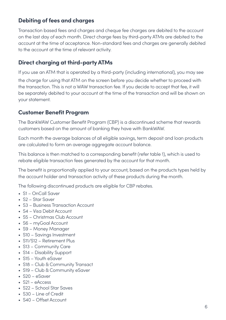## **Debiting of fees and charges**

Transaction based fees and charges and cheque fee charges are debited to the account on the last day of each month. Direct charge fees by third-party ATMs are debited to the account at the time of acceptance. Non-standard fees and charges are generally debited to the account at the time of relevant activity.

### **Direct charging at third-party ATMs**

If you use an ATM that is operated by a third-party (including international), you may see the charge for using that ATM on the screen before you decide whether to proceed with the transaction. This is not a WAW transaction fee. If you decide to accept that fee, it will be separately debited to your account at the time of the transaction and will be shown on your statement.

### **Customer Benefit Program**

The BankWAW Customer Benefit Program (CBP) is a discontinued scheme that rewards customers based on the amount of banking they have with BankWAW.

Each month the average balances of all eligible savings, term deposit and loan products are calculated to form an average aggregate account balance.

This balance is then matched to a corresponding benefit (refer table 1), which is used to rebate eligible transaction fees generated by the account for that month.

The benefit is proportionally applied to your account, based on the products types held by the account holder and transaction activity of these products during the month.

The following discontinued products are eligible for CBP rebates.

- S1 OnCall Saver
- S2 Star Saver
- S3 Business Transaction Account
- S4 Visa Debit Account
- S5 Christmas Club Account
- S6 myGoal Account
- S9 Money Manager
- S10 Savings Investment
- S11/S12 Retirement Plus
- S13 Community Care
- S14 Disability Support
- S15 Youth eSaver
- S18 Club & Community Transact
- S19 Club & Community eSaver
- S20 eSaver
- S21 eAccess
- S22 School Star Saves
- S30 Line of Credit
- S40 Offset Account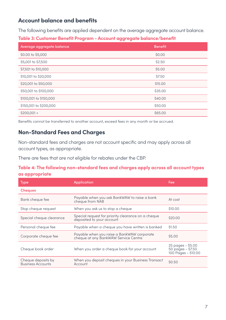#### **Account balance and benefits**

The following benefits are applied dependent on the average aggregate account balance.

#### **Table 3: Customer Benefit Program - Account aggregate balance/benefit**

| Average aggregate balance | <b>Benefit</b> |
|---------------------------|----------------|
| \$0.00 to \$5,000         | \$0.00         |
| \$5,001 to \$7,500        | \$2.50         |
| \$7,501 to \$10,000       | \$5.00         |
| \$10,001 to \$20,000      | \$7.50         |
| \$20,001 to \$50,000      | \$15,00        |
| \$50,001 to \$100,000     | \$35,00        |
| \$100,001 to \$150,000    | \$40.00        |
| \$150,001 to \$200,000    | \$50.00        |
| $$200,001 +$              | \$65,00        |

Benefits cannot be transferred to another account, exceed fees in any month or be accrued.

### **Non-Standard Fees and Charges**

Non-standard fees and charges are not account specific and may apply across all account types, as appropriate.

There are fees that are not eligible for rebates under the CBP.

#### **Table 4: The following non-standard fees and charges apply across all account types as appropriate**

| <b>Type</b>                                    | <b>Application</b>                                                                 | Fee                                                           |
|------------------------------------------------|------------------------------------------------------------------------------------|---------------------------------------------------------------|
| <b>Cheques</b>                                 |                                                                                    |                                                               |
| Bank cheque fee                                | Payable when you ask BankWAW to raise a bank<br>cheque from NAB                    | At cost                                                       |
| Stop cheque request                            | When you ask us to stop a cheque                                                   | \$10,00                                                       |
| Special cheque clearance                       | Special request for priority clearance on a cheque<br>deposited to your account    | \$20.00                                                       |
| Personal cheque fee                            | Payable when a cheque you have written is banked                                   | \$1.50                                                        |
| Corporate cheque fee                           | Payable when you raise a BankWAW corporate<br>cheque at any BankWAW Service Centre | \$5,00                                                        |
| Cheque book order                              | When you order a cheque book for your account                                      | 25 pages - \$5.00<br>50 pages - \$7.50<br>100 Pages - \$10.00 |
| Cheque deposits by<br><b>Business Accounts</b> | When you deposit cheques in your Business Transact<br>Account                      | \$0.50                                                        |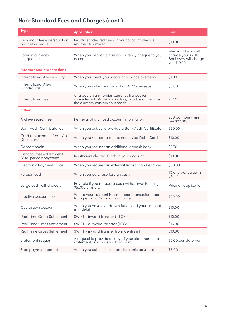# **Non-Standard Fees and Charges (cont.)**

| <b>Type</b>                                              | <b>Application</b>                                                                                                                       | Fee                                                                            |
|----------------------------------------------------------|------------------------------------------------------------------------------------------------------------------------------------------|--------------------------------------------------------------------------------|
| Dishonour fee - personal or<br>business cheque           | Insufficient cleared funds in your account, cheque<br>returned to drawer                                                                 | \$10,00                                                                        |
| Foreign currency<br>cheque fee                           | When you deposit a foreign currency cheque to your<br>account                                                                            | Western Union will<br>charge you \$5.00.<br>BankWAW will charge<br>you \$10.00 |
| <b>International transactions</b>                        |                                                                                                                                          |                                                                                |
| International ATM enquiry                                | When you check your account balance overseas                                                                                             | \$1.00                                                                         |
| <b>International ATM</b><br>withdrawal                   | When you withdraw cash at an ATM overseas                                                                                                | \$3.00                                                                         |
| International fee                                        | Charged on any foreign currency transaction<br>converted into Australian dollars, payable at the time<br>the currency conversion is made | 2.75%                                                                          |
| Other                                                    |                                                                                                                                          |                                                                                |
| Archive search fee                                       | Retrieval of archived account information                                                                                                | \$50 per hour (min<br>fee \$20.00)                                             |
| <b>Bank Audit Certificate fee</b>                        | When you ask us to provide a Bank Audit Certificate                                                                                      | \$30.00                                                                        |
| Card replacement fee - Visa<br>Debit card                | When you request a replacement Visa Debit Card                                                                                           | \$10,00                                                                        |
| Deposit books                                            | When you request an additional deposit book                                                                                              | \$7.50                                                                         |
| Dishonour fee - direct debit,<br>BPAY, periodic payments | Insufficient cleared funds in your account                                                                                               | \$10,00                                                                        |
| Electronic Payment Trace                                 | When you request an external transaction be traced                                                                                       | \$30.00                                                                        |
| Foreign cash                                             | When you purchase foreign cash                                                                                                           | 1% of order value in<br><b>SAUD</b>                                            |
| Large cash withdrawals                                   | Payable if you request a cash withdrawal totalling<br>\$5,000 or more                                                                    | Price on application                                                           |
| Inactive account fee                                     | Where your account has not been transacted upon<br>for a period of 12 months or more                                                     | \$20.00                                                                        |
| Overdrawn account                                        | When you have overdrawn funds and your account<br>is in debit                                                                            | \$10.00                                                                        |
| Real Time Gross Settlement                               | SWIFT - inward transfer (RTGS)                                                                                                           | \$10,00                                                                        |
| <b>Real Time Gross Settlement</b>                        | SWIFT - outward transfer (RTGS)                                                                                                          | \$15,00                                                                        |
| <b>Real Time Gross Settlement</b>                        | SWIFT - inward transfer from Centrelink                                                                                                  | \$10,00                                                                        |
| Statement request                                        | A request to provide a copy of your statement or a<br>statement on a passbook account                                                    | \$2.00 per statement                                                           |
| Stop payment request                                     | When you ask us to stop an electronic payment                                                                                            | \$5.00                                                                         |